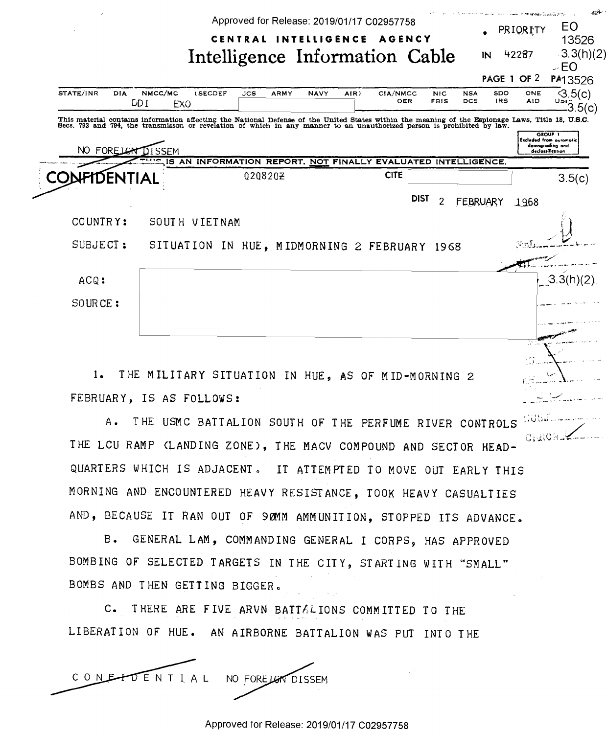|                                                                                                                                                                                                                                   |                            |                                                               |            |             | Approved for Release: 2019/01/17 C02957758<br>CENTRAL INTELLIGENCE |      | <b>AGENCY</b> |             |                           |                          |                          | PRIORITY          | 424<br>EO<br>13526                                                                      |
|-----------------------------------------------------------------------------------------------------------------------------------------------------------------------------------------------------------------------------------|----------------------------|---------------------------------------------------------------|------------|-------------|--------------------------------------------------------------------|------|---------------|-------------|---------------------------|--------------------------|--------------------------|-------------------|-----------------------------------------------------------------------------------------|
|                                                                                                                                                                                                                                   |                            | Intelligence Information Cable                                |            |             |                                                                    |      |               |             |                           |                          | IN                       | 42287             | 3.3(h)(2)<br>>E <sub>O</sub>                                                            |
|                                                                                                                                                                                                                                   |                            |                                                               |            |             |                                                                    |      |               |             |                           |                          |                          | PAGE 1 OF 2       | PA13526                                                                                 |
| STATE/INR<br>DIA<br>DD I                                                                                                                                                                                                          | NMCC/MC<br>EX <sub>O</sub> | (SECDEF                                                       | <b>JCS</b> | <b>ARMY</b> | <b>NAVY</b>                                                        | AIR) | CIA/NMCC      | OER         | <b>NIC</b><br><b>FBIS</b> | <b>NSA</b><br><b>DCS</b> | <b>SDO</b><br><b>IRS</b> | ONE<br><b>AID</b> | $\sqrt{3.5(c)}$<br>$\frac{15}{3}3.5(c)$                                                 |
| This material contains information affecting the National Defense of the United States within the meaning of the Espionage Laws, Title 18, U.S.C.<br>Secs. 793 and 794, the transmisson or revelation of which in any manner to a |                            |                                                               |            |             |                                                                    |      |               |             |                           |                          |                          |                   |                                                                                         |
| NO FORELGN                                                                                                                                                                                                                        | ጊISSEM<br>$-0.1$           |                                                               |            |             |                                                                    |      |               |             |                           |                          |                          |                   | <b>GROUF</b> T<br><b>Excluded from automotic</b><br>downgrading and<br>declossification |
| FIDENTIAL                                                                                                                                                                                                                         |                            | IS AN INFORMATION REPORT, NOT FINALLY EVALUATED INTELLIGENCE. | 0208202    |             |                                                                    |      | <b>CITE</b>   |             |                           |                          |                          |                   | 3.5(c)                                                                                  |
|                                                                                                                                                                                                                                   |                            |                                                               |            |             |                                                                    |      |               | <b>DIST</b> | 2                         |                          | FEBRUARY                 | 1968              |                                                                                         |
| COUNTRY:                                                                                                                                                                                                                          |                            | SOUTH VIETNAM                                                 |            |             |                                                                    |      |               |             |                           |                          |                          |                   |                                                                                         |
| SUBJECT:                                                                                                                                                                                                                          |                            | SITUATION IN HUE, MIDMORNING 2 FEBRUARY 1968                  |            |             |                                                                    |      |               |             |                           |                          |                          | Wnl               |                                                                                         |
| ACQ:                                                                                                                                                                                                                              |                            |                                                               |            |             |                                                                    |      |               |             |                           |                          |                          |                   | 3.3(h)                                                                                  |
| SOURCE:                                                                                                                                                                                                                           |                            |                                                               |            |             |                                                                    |      |               |             |                           |                          |                          |                   |                                                                                         |
|                                                                                                                                                                                                                                   |                            |                                                               |            |             |                                                                    |      |               |             |                           |                          |                          |                   |                                                                                         |

1. THE MILITARY SITUATION IN HUE, AS OF MID-MORNING 2 FEBRUARY, IS AS FOLLOWS:

A. THE USMC BATTALION SOUTH OF THE PERFUME RIVER CONTROLS ChROM-THE LCU RAMP (LANDING ZONE), THE MACV COMPOUND AND SECTOR HEAD-QUARTERS WHICH IS ADJACENT. IT ATTEMPTED TO MOVE OUT EARLY THIS MORNING AND ENCOUNTERED HEAVY RESISTANCE, TOOK HEAVY CASUALTIES AND, BECAUSE IT RAN OUT OF 90MM AMMUNITION, STOPPED ITS ADVANCE.

B. GENERAL LAM, COMMANDING GENERAL I CORPS, HAS APPROVED BOMBING OF SELECTED TARGETS IN THE CITY, STARTING WITH "SMALL" BOMBS AND THEN GETTING BIGGER.

C. THERE ARE FIVE ARVN BATTALIONS COMMITTED TO THE LIBERATION OF HUE. AN AIRBORNE BATTALION WAS PUT INTO THE